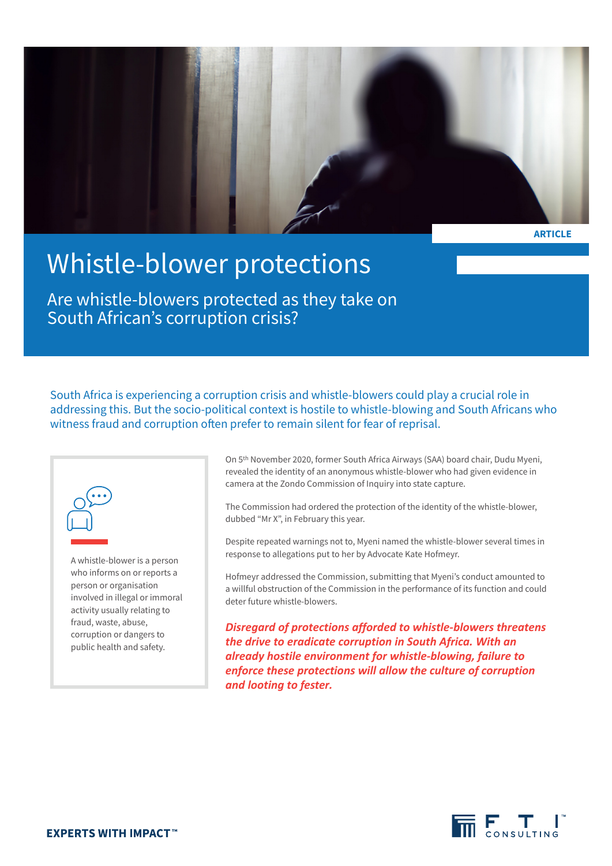

**ARTICLE**

# Whistle-blower protections

Are whistle-blowers protected as they take on South African's corruption crisis?

South Africa is experiencing a corruption crisis and whistle-blowers could play a crucial role in addressing this. But the socio-political context is hostile to whistle-blowing and South Africans who witness fraud and corruption often prefer to remain silent for fear of reprisal.



A whistle-blower is a person who informs on or reports a person or organisation involved in illegal or immoral activity usually relating to fraud, waste, abuse, corruption or dangers to public health and safety.

On 5th November 2020, former South Africa Airways (SAA) board chair, Dudu Myeni, revealed the identity of an anonymous whistle-blower who had given evidence in camera at the Zondo Commission of Inquiry into state capture.

The Commission had ordered the protection of the identity of the whistle-blower, dubbed "Mr X", in February this year.

Despite repeated warnings not to, Myeni named the whistle-blower several times in response to allegations put to her by Advocate Kate Hofmeyr.

Hofmeyr addressed the Commission, submitting that Myeni's conduct amounted to a willful obstruction of the Commission in the performance of its function and could deter future whistle-blowers.

*Disregard of protections afforded to whistle-blowers threatens the drive to eradicate corruption in South Africa. With an already hostile environment for whistle-blowing, failure to enforce these protections will allow the culture of corruption and looting to fester.*

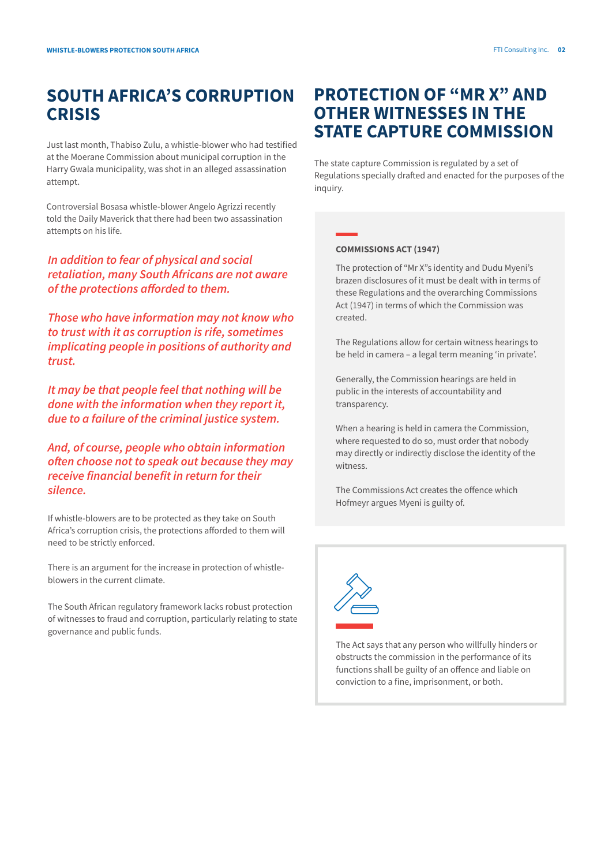# **SOUTH AFRICA'S CORRUPTION CRISIS**

Just last month, Thabiso Zulu, a whistle-blower who had testified at the Moerane Commission about municipal corruption in the Harry Gwala municipality, was shot in an alleged assassination attempt.

Controversial Bosasa whistle-blower Angelo Agrizzi recently told the Daily Maverick that there had been two assassination attempts on his life.

*In addition to fear of physical and social retaliation, many South Africans are not aware of the protections afforded to them.* 

*Those who have information may not know who to trust with it as corruption is rife, sometimes implicating people in positions of authority and trust.* 

*It may be that people feel that nothing will be done with the information when they report it, due to a failure of the criminal justice system.* 

*And, of course, people who obtain information often choose not to speak out because they may receive financial benefit in return for their silence.*

If whistle-blowers are to be protected as they take on South Africa's corruption crisis, the protections afforded to them will need to be strictly enforced.

There is an argument for the increase in protection of whistleblowers in the current climate.

The South African regulatory framework lacks robust protection of witnesses to fraud and corruption, particularly relating to state governance and public funds.

# **PROTECTION OF "MR X" AND OTHER WITNESSES IN THE STATE CAPTURE COMMISSION**

The state capture Commission is regulated by a set of Regulations specially drafted and enacted for the purposes of the inquiry.

#### **COMMISSIONS ACT (1947)**

The protection of "Mr X"s identity and Dudu Myeni's brazen disclosures of it must be dealt with in terms of these Regulations and the overarching Commissions Act (1947) in terms of which the Commission was created.

The Regulations allow for certain witness hearings to be held in camera – a legal term meaning 'in private'.

Generally, the Commission hearings are held in public in the interests of accountability and transparency.

When a hearing is held in camera the Commission, where requested to do so, must order that nobody may directly or indirectly disclose the identity of the witness.

The Commissions Act creates the offence which Hofmeyr argues Myeni is guilty of.



The Act says that any person who willfully hinders or obstructs the commission in the performance of its functions shall be guilty of an offence and liable on conviction to a fine, imprisonment, or both.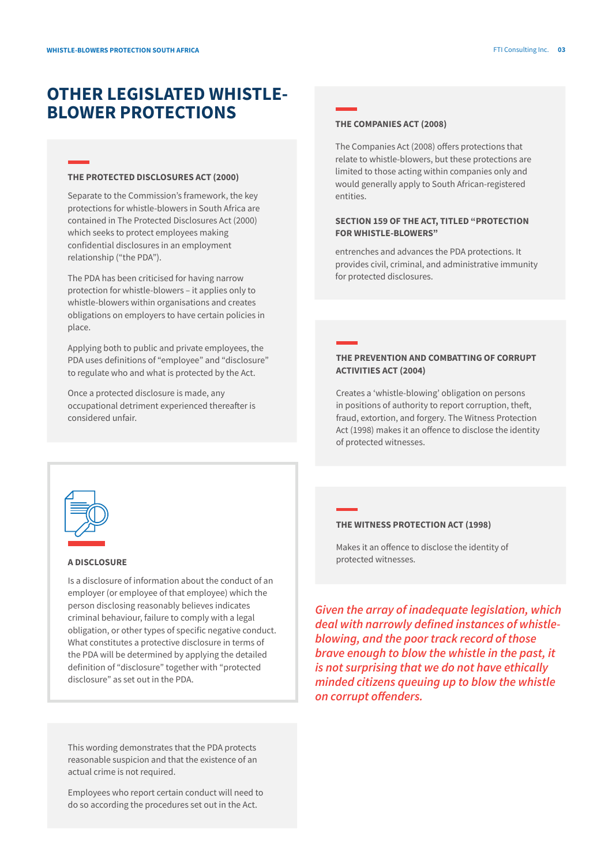## **OTHER LEGISLATED WHISTLE-BLOWER PROTECTIONS**

#### **THE PROTECTED DISCLOSURES ACT (2000)**

Separate to the Commission's framework, the key protections for whistle-blowers in South Africa are contained in The Protected Disclosures Act (2000) which seeks to protect employees making confidential disclosures in an employment relationship ("the PDA").

The PDA has been criticised for having narrow protection for whistle-blowers – it applies only to whistle-blowers within organisations and creates obligations on employers to have certain policies in place.

Applying both to public and private employees, the PDA uses definitions of "employee" and "disclosure" to regulate who and what is protected by the Act.

Once a protected disclosure is made, any occupational detriment experienced thereafter is considered unfair.

#### **THE COMPANIES ACT (2008)**

The Companies Act (2008) offers protections that relate to whistle-blowers, but these protections are limited to those acting within companies only and would generally apply to South African-registered entities.

#### **SECTION 159 OF THE ACT, TITLED "PROTECTION FOR WHISTLE-BLOWERS"**

entrenches and advances the PDA protections. It provides civil, criminal, and administrative immunity for protected disclosures.

#### **THE PREVENTION AND COMBATTING OF CORRUPT ACTIVITIES ACT (2004)**

Creates a 'whistle-blowing' obligation on persons in positions of authority to report corruption, theft, fraud, extortion, and forgery. The Witness Protection Act (1998) makes it an offence to disclose the identity of protected witnesses.



#### **A DISCLOSURE**

Is a disclosure of information about the conduct of an employer (or employee of that employee) which the person disclosing reasonably believes indicates criminal behaviour, failure to comply with a legal obligation, or other types of specific negative conduct. What constitutes a protective disclosure in terms of the PDA will be determined by applying the detailed definition of "disclosure" together with "protected disclosure" as set out in the PDA.

This wording demonstrates that the PDA protects reasonable suspicion and that the existence of an actual crime is not required.

Employees who report certain conduct will need to do so according the procedures set out in the Act.

#### **THE WITNESS PROTECTION ACT (1998)**

Makes it an offence to disclose the identity of protected witnesses.

*Given the array of inadequate legislation, which deal with narrowly defined instances of whistleblowing, and the poor track record of those brave enough to blow the whistle in the past, it is not surprising that we do not have ethically minded citizens queuing up to blow the whistle on corrupt offenders.*